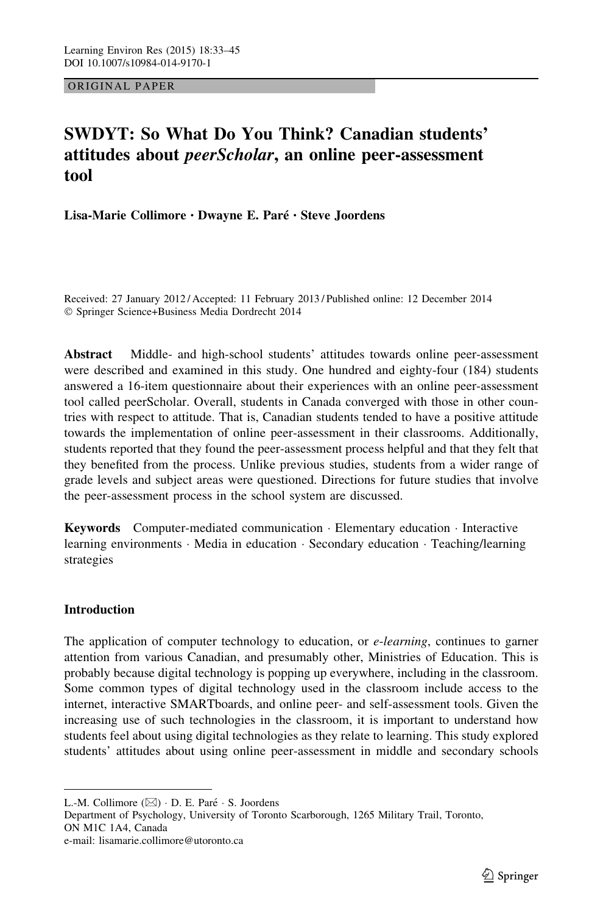ORIGINAL PAPER

# SWDYT: So What Do You Think? Canadian students' attitudes about peerScholar, an online peer-assessment tool

Lisa-Marie Collimore · Dwayne E. Paré · Steve Joordens

Received: 27 January 2012 / Accepted: 11 February 2013 / Published online: 12 December 2014 - Springer Science+Business Media Dordrecht 2014

Abstract Middle- and high-school students' attitudes towards online peer-assessment were described and examined in this study. One hundred and eighty-four (184) students answered a 16-item questionnaire about their experiences with an online peer-assessment tool called peerScholar. Overall, students in Canada converged with those in other countries with respect to attitude. That is, Canadian students tended to have a positive attitude towards the implementation of online peer-assessment in their classrooms. Additionally, students reported that they found the peer-assessment process helpful and that they felt that they benefited from the process. Unlike previous studies, students from a wider range of grade levels and subject areas were questioned. Directions for future studies that involve the peer-assessment process in the school system are discussed.

Keywords Computer-mediated communication - Elementary education - Interactive learning environments - Media in education - Secondary education - Teaching/learning strategies

# Introduction

The application of computer technology to education, or *e-learning*, continues to garner attention from various Canadian, and presumably other, Ministries of Education. This is probably because digital technology is popping up everywhere, including in the classroom. Some common types of digital technology used in the classroom include access to the internet, interactive SMARTboards, and online peer- and self-assessment tools. Given the increasing use of such technologies in the classroom, it is important to understand how students feel about using digital technologies as they relate to learning. This study explored students' attitudes about using online peer-assessment in middle and secondary schools

L.-M. Collimore (⊠) · D. E. Paré · S. Joordens

Department of Psychology, University of Toronto Scarborough, 1265 Military Trail, Toronto, ON M1C 1A4, Canada e-mail: lisamarie.collimore@utoronto.ca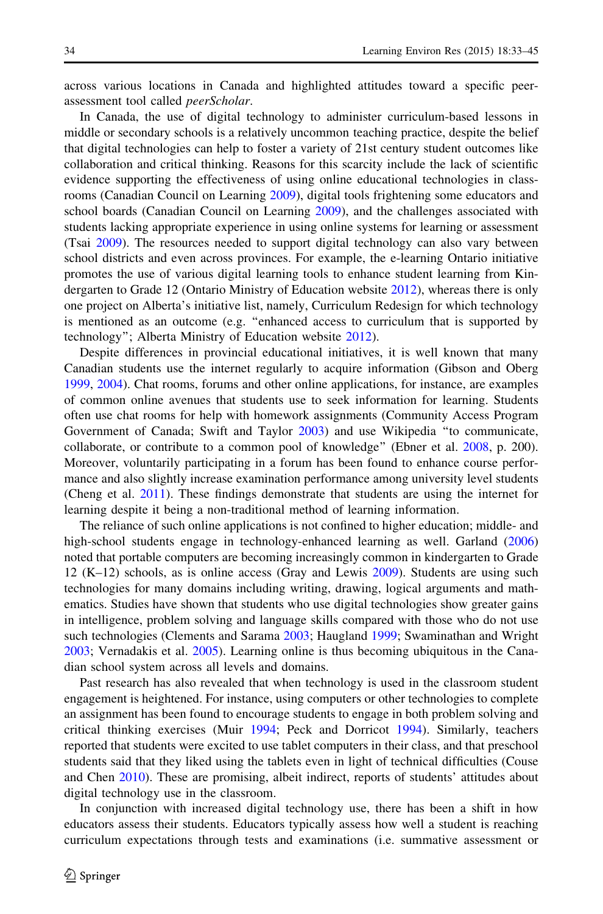across various locations in Canada and highlighted attitudes toward a specific peerassessment tool called peerScholar.

In Canada, the use of digital technology to administer curriculum-based lessons in middle or secondary schools is a relatively uncommon teaching practice, despite the belief that digital technologies can help to foster a variety of 21st century student outcomes like collaboration and critical thinking. Reasons for this scarcity include the lack of scientific evidence supporting the effectiveness of using online educational technologies in classrooms (Canadian Council on Learning [2009\)](#page-11-0), digital tools frightening some educators and school boards (Canadian Council on Learning [2009\)](#page-11-0), and the challenges associated with students lacking appropriate experience in using online systems for learning or assessment (Tsai [2009\)](#page-12-0). The resources needed to support digital technology can also vary between school districts and even across provinces. For example, the e-learning Ontario initiative promotes the use of various digital learning tools to enhance student learning from Kindergarten to Grade 12 (Ontario Ministry of Education website [2012\)](#page-12-0), whereas there is only one project on Alberta's initiative list, namely, Curriculum Redesign for which technology is mentioned as an outcome (e.g. ''enhanced access to curriculum that is supported by technology''; Alberta Ministry of Education website [2012](#page-11-0)).

Despite differences in provincial educational initiatives, it is well known that many Canadian students use the internet regularly to acquire information (Gibson and Oberg [1999,](#page-12-0) [2004\)](#page-12-0). Chat rooms, forums and other online applications, for instance, are examples of common online avenues that students use to seek information for learning. Students often use chat rooms for help with homework assignments (Community Access Program Government of Canada; Swift and Taylor [2003\)](#page-12-0) and use Wikipedia ''to communicate, collaborate, or contribute to a common pool of knowledge'' (Ebner et al. [2008,](#page-11-0) p. 200). Moreover, voluntarily participating in a forum has been found to enhance course performance and also slightly increase examination performance among university level students (Cheng et al. [2011\)](#page-11-0). These findings demonstrate that students are using the internet for learning despite it being a non-traditional method of learning information.

The reliance of such online applications is not confined to higher education; middle- and high-school students engage in technology-enhanced learning as well. Garland ([2006](#page-11-0)) noted that portable computers are becoming increasingly common in kindergarten to Grade 12 (K–12) schools, as is online access (Gray and Lewis [2009](#page-12-0)). Students are using such technologies for many domains including writing, drawing, logical arguments and mathematics. Studies have shown that students who use digital technologies show greater gains in intelligence, problem solving and language skills compared with those who do not use such technologies (Clements and Sarama [2003;](#page-11-0) Haugland [1999;](#page-12-0) Swaminathan and Wright [2003;](#page-12-0) Vernadakis et al. [2005](#page-12-0)). Learning online is thus becoming ubiquitous in the Canadian school system across all levels and domains.

Past research has also revealed that when technology is used in the classroom student engagement is heightened. For instance, using computers or other technologies to complete an assignment has been found to encourage students to engage in both problem solving and critical thinking exercises (Muir [1994](#page-12-0); Peck and Dorricot [1994\)](#page-12-0). Similarly, teachers reported that students were excited to use tablet computers in their class, and that preschool students said that they liked using the tablets even in light of technical difficulties (Couse and Chen [2010\)](#page-11-0). These are promising, albeit indirect, reports of students' attitudes about digital technology use in the classroom.

In conjunction with increased digital technology use, there has been a shift in how educators assess their students. Educators typically assess how well a student is reaching curriculum expectations through tests and examinations (i.e. summative assessment or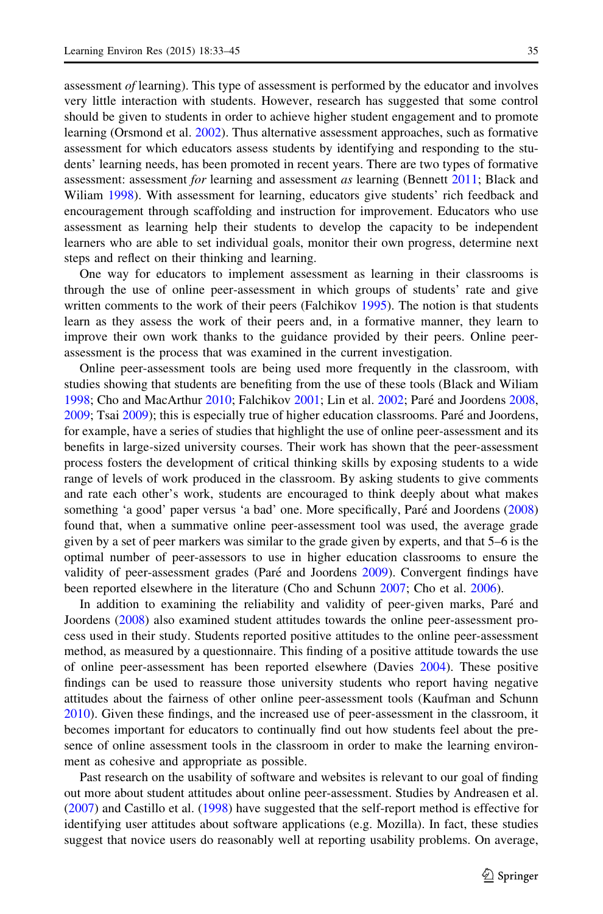assessment of learning). This type of assessment is performed by the educator and involves very little interaction with students. However, research has suggested that some control should be given to students in order to achieve higher student engagement and to promote learning (Orsmond et al. [2002](#page-12-0)). Thus alternative assessment approaches, such as formative assessment for which educators assess students by identifying and responding to the students' learning needs, has been promoted in recent years. There are two types of formative assessment: assessment for learning and assessment as learning (Bennett [2011](#page-11-0); Black and Wiliam [1998\)](#page-11-0). With assessment for learning, educators give students' rich feedback and encouragement through scaffolding and instruction for improvement. Educators who use assessment as learning help their students to develop the capacity to be independent learners who are able to set individual goals, monitor their own progress, determine next steps and reflect on their thinking and learning.

One way for educators to implement assessment as learning in their classrooms is through the use of online peer-assessment in which groups of students' rate and give written comments to the work of their peers (Falchikov [1995](#page-11-0)). The notion is that students learn as they assess the work of their peers and, in a formative manner, they learn to improve their own work thanks to the guidance provided by their peers. Online peerassessment is the process that was examined in the current investigation.

Online peer-assessment tools are being used more frequently in the classroom, with studies showing that students are benefiting from the use of these tools (Black and Wiliam [1998;](#page-11-0) Cho and MacArthur [2010;](#page-11-0) Falchikov [2001](#page-11-0); Lin et al. [2002](#page-12-0); Pare´ and Joordens [2008](#page-12-0), [2009;](#page-12-0) Tsai [2009](#page-12-0)); this is especially true of higher education classrooms. Pare´ and Joordens, for example, have a series of studies that highlight the use of online peer-assessment and its benefits in large-sized university courses. Their work has shown that the peer-assessment process fosters the development of critical thinking skills by exposing students to a wide range of levels of work produced in the classroom. By asking students to give comments and rate each other's work, students are encouraged to think deeply about what makes something 'a good' paper versus 'a bad' one. More specifically, Paré and Joordens ([2008](#page-12-0)) found that, when a summative online peer-assessment tool was used, the average grade given by a set of peer markers was similar to the grade given by experts, and that 5–6 is the optimal number of peer-assessors to use in higher education classrooms to ensure the validity of peer-assessment grades (Paré and Joordens [2009](#page-12-0)). Convergent findings have been reported elsewhere in the literature (Cho and Schunn [2007](#page-11-0); Cho et al. [2006](#page-11-0)).

In addition to examining the reliability and validity of peer-given marks, Paré and Joordens ([2008\)](#page-12-0) also examined student attitudes towards the online peer-assessment process used in their study. Students reported positive attitudes to the online peer-assessment method, as measured by a questionnaire. This finding of a positive attitude towards the use of online peer-assessment has been reported elsewhere (Davies [2004](#page-11-0)). These positive findings can be used to reassure those university students who report having negative attitudes about the fairness of other online peer-assessment tools (Kaufman and Schunn [2010\)](#page-12-0). Given these findings, and the increased use of peer-assessment in the classroom, it becomes important for educators to continually find out how students feel about the presence of online assessment tools in the classroom in order to make the learning environment as cohesive and appropriate as possible.

Past research on the usability of software and websites is relevant to our goal of finding out more about student attitudes about online peer-assessment. Studies by Andreasen et al. ([2007\)](#page-11-0) and Castillo et al. [\(1998](#page-11-0)) have suggested that the self-report method is effective for identifying user attitudes about software applications (e.g. Mozilla). In fact, these studies suggest that novice users do reasonably well at reporting usability problems. On average,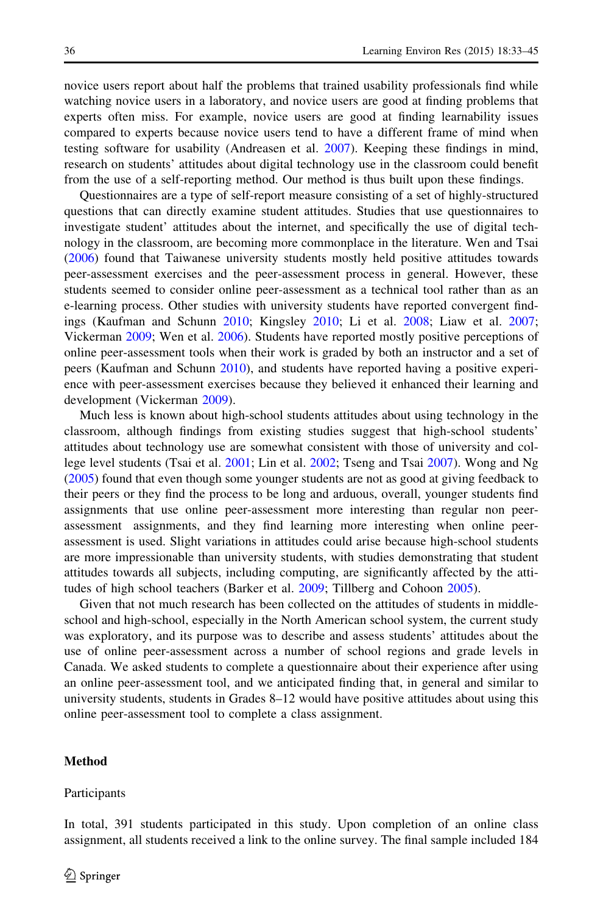novice users report about half the problems that trained usability professionals find while watching novice users in a laboratory, and novice users are good at finding problems that experts often miss. For example, novice users are good at finding learnability issues compared to experts because novice users tend to have a different frame of mind when testing software for usability (Andreasen et al. [2007\)](#page-11-0). Keeping these findings in mind, research on students' attitudes about digital technology use in the classroom could benefit from the use of a self-reporting method. Our method is thus built upon these findings.

Questionnaires are a type of self-report measure consisting of a set of highly-structured questions that can directly examine student attitudes. Studies that use questionnaires to investigate student' attitudes about the internet, and specifically the use of digital technology in the classroom, are becoming more commonplace in the literature. Wen and Tsai ([2006\)](#page-12-0) found that Taiwanese university students mostly held positive attitudes towards peer-assessment exercises and the peer-assessment process in general. However, these students seemed to consider online peer-assessment as a technical tool rather than as an e-learning process. Other studies with university students have reported convergent findings (Kaufman and Schunn [2010;](#page-12-0) Kingsley [2010](#page-12-0); Li et al. [2008](#page-12-0); Liaw et al. [2007;](#page-12-0) Vickerman [2009;](#page-12-0) Wen et al. [2006\)](#page-12-0). Students have reported mostly positive perceptions of online peer-assessment tools when their work is graded by both an instructor and a set of peers (Kaufman and Schunn [2010](#page-12-0)), and students have reported having a positive experience with peer-assessment exercises because they believed it enhanced their learning and development (Vickerman [2009](#page-12-0)).

Much less is known about high-school students attitudes about using technology in the classroom, although findings from existing studies suggest that high-school students' attitudes about technology use are somewhat consistent with those of university and college level students (Tsai et al. [2001](#page-12-0); Lin et al. [2002;](#page-12-0) Tseng and Tsai [2007\)](#page-12-0). Wong and Ng ([2005\)](#page-12-0) found that even though some younger students are not as good at giving feedback to their peers or they find the process to be long and arduous, overall, younger students find assignments that use online peer-assessment more interesting than regular non peerassessment assignments, and they find learning more interesting when online peerassessment is used. Slight variations in attitudes could arise because high-school students are more impressionable than university students, with studies demonstrating that student attitudes towards all subjects, including computing, are significantly affected by the attitudes of high school teachers (Barker et al. [2009;](#page-11-0) Tillberg and Cohoon [2005](#page-12-0)).

Given that not much research has been collected on the attitudes of students in middleschool and high-school, especially in the North American school system, the current study was exploratory, and its purpose was to describe and assess students' attitudes about the use of online peer-assessment across a number of school regions and grade levels in Canada. We asked students to complete a questionnaire about their experience after using an online peer-assessment tool, and we anticipated finding that, in general and similar to university students, students in Grades 8–12 would have positive attitudes about using this online peer-assessment tool to complete a class assignment.

## Method

#### Participants

In total, 391 students participated in this study. Upon completion of an online class assignment, all students received a link to the online survey. The final sample included 184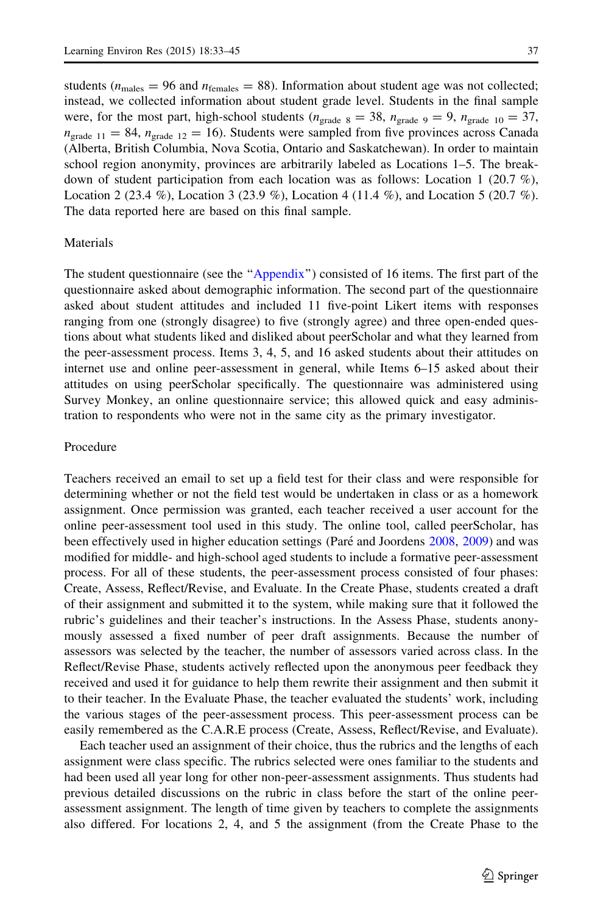students ( $n_{\text{males}} = 96$  and  $n_{\text{females}} = 88$ ). Information about student age was not collected; instead, we collected information about student grade level. Students in the final sample were, for the most part, high-school students ( $n_{\text{grade } 8} = 38$ ,  $n_{\text{grade } 9} = 9$ ,  $n_{\text{grade } 10} = 37$ ,  $n_{\text{grade 11}} = 84$ ,  $n_{\text{grade 12}} = 16$ ). Students were sampled from five provinces across Canada (Alberta, British Columbia, Nova Scotia, Ontario and Saskatchewan). In order to maintain school region anonymity, provinces are arbitrarily labeled as Locations 1–5. The breakdown of student participation from each location was as follows: Location 1 (20.7 %), Location 2 (23.4 %), Location 3 (23.9 %), Location 4 (11.4 %), and Location 5 (20.7 %). The data reported here are based on this final sample.

#### **Materials**

The student questionnaire (see the "[Appendix](#page-10-0)") consisted of 16 items. The first part of the questionnaire asked about demographic information. The second part of the questionnaire asked about student attitudes and included 11 five-point Likert items with responses ranging from one (strongly disagree) to five (strongly agree) and three open-ended questions about what students liked and disliked about peerScholar and what they learned from the peer-assessment process. Items 3, 4, 5, and 16 asked students about their attitudes on internet use and online peer-assessment in general, while Items 6–15 asked about their attitudes on using peerScholar specifically. The questionnaire was administered using Survey Monkey, an online questionnaire service; this allowed quick and easy administration to respondents who were not in the same city as the primary investigator.

### Procedure

Teachers received an email to set up a field test for their class and were responsible for determining whether or not the field test would be undertaken in class or as a homework assignment. Once permission was granted, each teacher received a user account for the online peer-assessment tool used in this study. The online tool, called peerScholar, has been effectively used in higher education settings (Pare´ and Joordens [2008,](#page-12-0) [2009](#page-12-0)) and was modified for middle- and high-school aged students to include a formative peer-assessment process. For all of these students, the peer-assessment process consisted of four phases: Create, Assess, Reflect/Revise, and Evaluate. In the Create Phase, students created a draft of their assignment and submitted it to the system, while making sure that it followed the rubric's guidelines and their teacher's instructions. In the Assess Phase, students anonymously assessed a fixed number of peer draft assignments. Because the number of assessors was selected by the teacher, the number of assessors varied across class. In the Reflect/Revise Phase, students actively reflected upon the anonymous peer feedback they received and used it for guidance to help them rewrite their assignment and then submit it to their teacher. In the Evaluate Phase, the teacher evaluated the students' work, including the various stages of the peer-assessment process. This peer-assessment process can be easily remembered as the C.A.R.E process (Create, Assess, Reflect/Revise, and Evaluate).

Each teacher used an assignment of their choice, thus the rubrics and the lengths of each assignment were class specific. The rubrics selected were ones familiar to the students and had been used all year long for other non-peer-assessment assignments. Thus students had previous detailed discussions on the rubric in class before the start of the online peerassessment assignment. The length of time given by teachers to complete the assignments also differed. For locations 2, 4, and 5 the assignment (from the Create Phase to the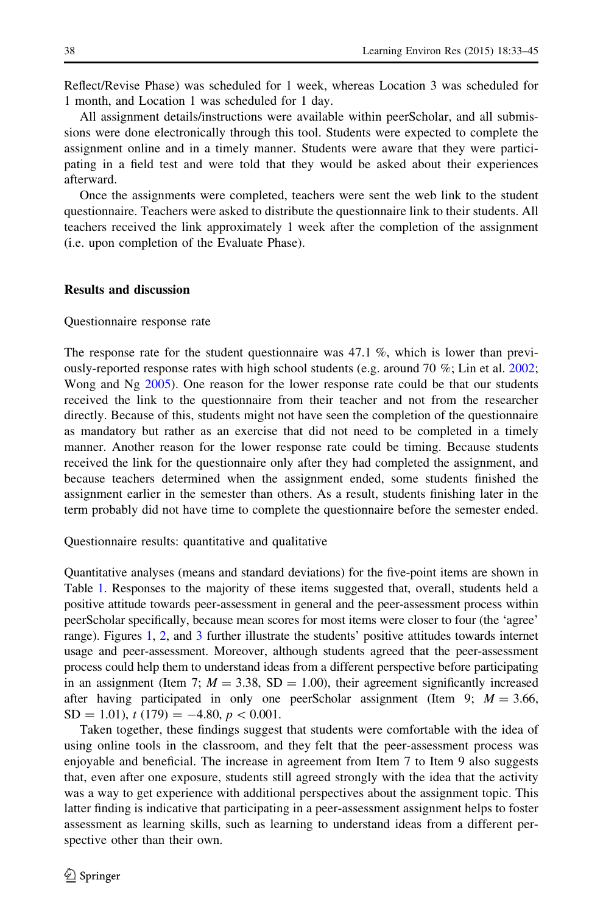Reflect/Revise Phase) was scheduled for 1 week, whereas Location 3 was scheduled for 1 month, and Location 1 was scheduled for 1 day.

All assignment details/instructions were available within peerScholar, and all submissions were done electronically through this tool. Students were expected to complete the assignment online and in a timely manner. Students were aware that they were participating in a field test and were told that they would be asked about their experiences afterward.

Once the assignments were completed, teachers were sent the web link to the student questionnaire. Teachers were asked to distribute the questionnaire link to their students. All teachers received the link approximately 1 week after the completion of the assignment (i.e. upon completion of the Evaluate Phase).

#### Results and discussion

#### Questionnaire response rate

The response rate for the student questionnaire was 47.1 %, which is lower than previously-reported response rates with high school students (e.g. around 70 %; Lin et al. [2002;](#page-12-0) Wong and Ng [2005\)](#page-12-0). One reason for the lower response rate could be that our students received the link to the questionnaire from their teacher and not from the researcher directly. Because of this, students might not have seen the completion of the questionnaire as mandatory but rather as an exercise that did not need to be completed in a timely manner. Another reason for the lower response rate could be timing. Because students received the link for the questionnaire only after they had completed the assignment, and because teachers determined when the assignment ended, some students finished the assignment earlier in the semester than others. As a result, students finishing later in the term probably did not have time to complete the questionnaire before the semester ended.

#### Questionnaire results: quantitative and qualitative

Quantitative analyses (means and standard deviations) for the five-point items are shown in Table [1.](#page-6-0) Responses to the majority of these items suggested that, overall, students held a positive attitude towards peer-assessment in general and the peer-assessment process within peerScholar specifically, because mean scores for most items were closer to four (the 'agree' range). Figures [1](#page-6-0), [2](#page-7-0), and [3](#page-7-0) further illustrate the students' positive attitudes towards internet usage and peer-assessment. Moreover, although students agreed that the peer-assessment process could help them to understand ideas from a different perspective before participating in an assignment (Item 7;  $M = 3.38$ , SD = 1.00), their agreement significantly increased after having participated in only one peerScholar assignment (Item 9;  $M = 3.66$ ,  $SD = 1.01$ , t (179) = -4.80, p < 0.001.

Taken together, these findings suggest that students were comfortable with the idea of using online tools in the classroom, and they felt that the peer-assessment process was enjoyable and beneficial. The increase in agreement from Item 7 to Item 9 also suggests that, even after one exposure, students still agreed strongly with the idea that the activity was a way to get experience with additional perspectives about the assignment topic. This latter finding is indicative that participating in a peer-assessment assignment helps to foster assessment as learning skills, such as learning to understand ideas from a different perspective other than their own.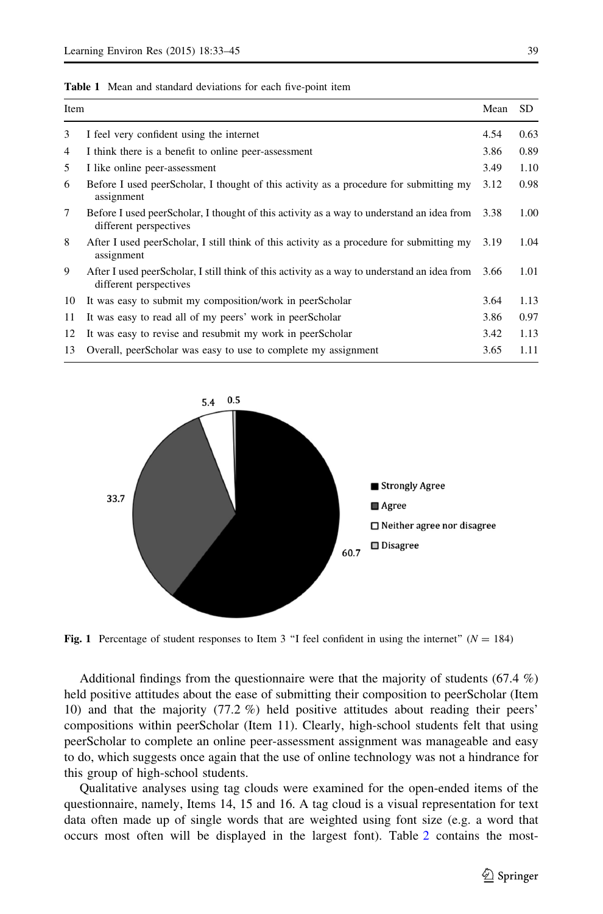<span id="page-6-0"></span>

| <b>Table 1</b> Mean and standard deviations for each five-point item |
|----------------------------------------------------------------------|
|----------------------------------------------------------------------|

| Item |                                                                                                                        | Mean | SD.  |
|------|------------------------------------------------------------------------------------------------------------------------|------|------|
| 3    | I feel very confident using the internet                                                                               | 4.54 | 0.63 |
| 4    | I think there is a benefit to online peer-assessment                                                                   | 3.86 | 0.89 |
| 5    | I like online peer-assessment                                                                                          | 3.49 | 1.10 |
| 6    | Before I used peerScholar, I thought of this activity as a procedure for submitting my<br>assignment                   | 3.12 | 0.98 |
| 7    | Before I used peerScholar, I thought of this activity as a way to understand an idea from<br>different perspectives    | 3.38 | 1.00 |
| 8    | After I used peerScholar, I still think of this activity as a procedure for submitting my<br>assignment                | 3.19 | 1.04 |
| 9    | After I used peerScholar, I still think of this activity as a way to understand an idea from<br>different perspectives | 3.66 | 1.01 |
| 10   | It was easy to submit my composition/work in peerScholar                                                               | 3.64 | 1.13 |
| 11   | It was easy to read all of my peers' work in peerScholar                                                               | 3.86 | 0.97 |
| 12   | It was easy to revise and resubmit my work in peerScholar                                                              | 3.42 | 1.13 |
| 13   | Overall, peerScholar was easy to use to complete my assignment                                                         | 3.65 | 1.11 |



Fig. 1 Percentage of student responses to Item 3 "I feel confident in using the internet" ( $N = 184$ )

Additional findings from the questionnaire were that the majority of students (67.4 %) held positive attitudes about the ease of submitting their composition to peerScholar (Item 10) and that the majority (77.2 %) held positive attitudes about reading their peers' compositions within peerScholar (Item 11). Clearly, high-school students felt that using peerScholar to complete an online peer-assessment assignment was manageable and easy to do, which suggests once again that the use of online technology was not a hindrance for this group of high-school students.

Qualitative analyses using tag clouds were examined for the open-ended items of the questionnaire, namely, Items 14, 15 and 16. A tag cloud is a visual representation for text data often made up of single words that are weighted using font size (e.g. a word that occurs most often will be displayed in the largest font). Table [2](#page-8-0) contains the most-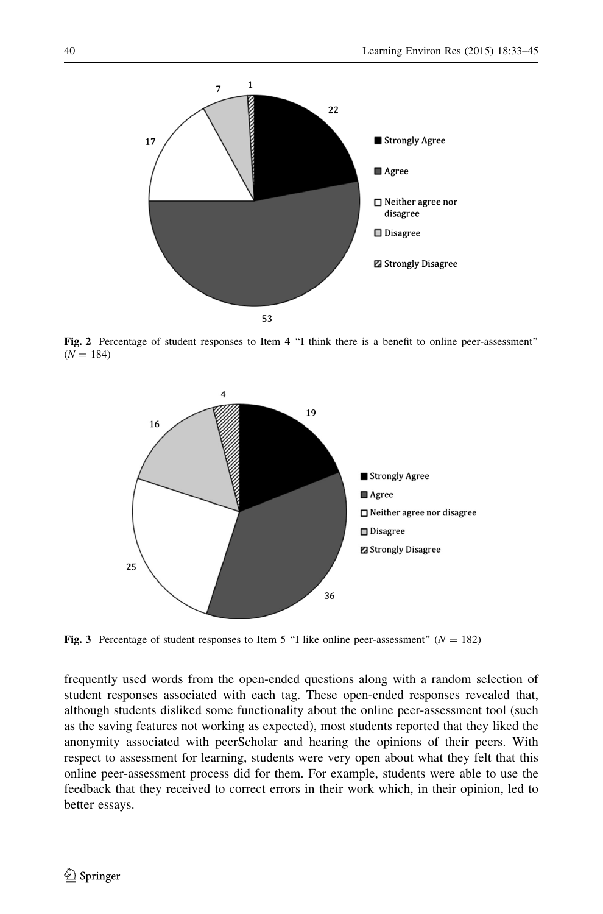<span id="page-7-0"></span>

Fig. 2 Percentage of student responses to Item 4 "I think there is a benefit to online peer-assessment"  $(N = 184)$ 



Fig. 3 Percentage of student responses to Item 5 "I like online peer-assessment" ( $N = 182$ )

frequently used words from the open-ended questions along with a random selection of student responses associated with each tag. These open-ended responses revealed that, although students disliked some functionality about the online peer-assessment tool (such as the saving features not working as expected), most students reported that they liked the anonymity associated with peerScholar and hearing the opinions of their peers. With respect to assessment for learning, students were very open about what they felt that this online peer-assessment process did for them. For example, students were able to use the feedback that they received to correct errors in their work which, in their opinion, led to better essays.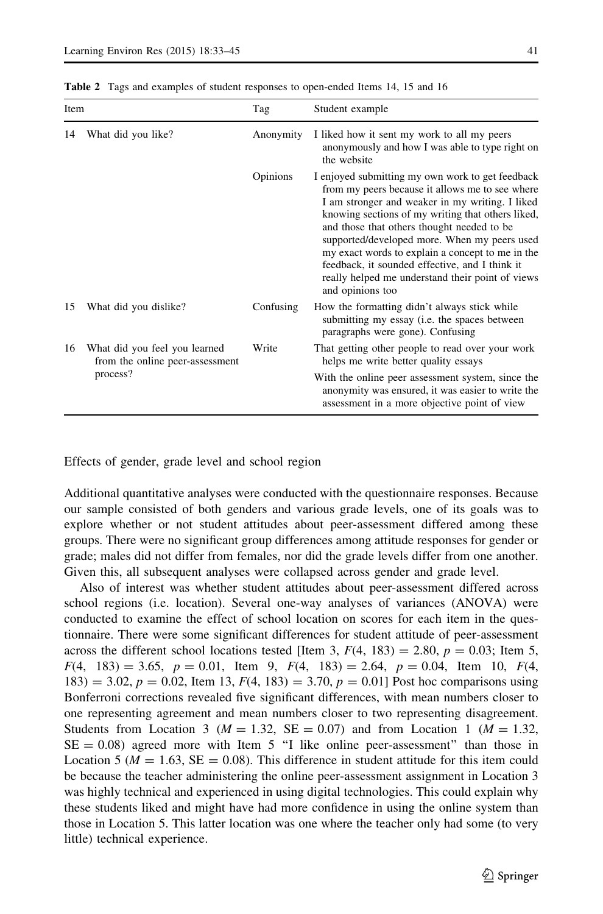| Item |                                                                              | Tag       | Student example                                                                                                                                                                                                                                                                                                                                                                                                                                                                         |  |
|------|------------------------------------------------------------------------------|-----------|-----------------------------------------------------------------------------------------------------------------------------------------------------------------------------------------------------------------------------------------------------------------------------------------------------------------------------------------------------------------------------------------------------------------------------------------------------------------------------------------|--|
| 14   | What did you like?                                                           | Anonymity | I liked how it sent my work to all my peers<br>anonymously and how I was able to type right on<br>the website                                                                                                                                                                                                                                                                                                                                                                           |  |
|      |                                                                              | Opinions  | I enjoyed submitting my own work to get feedback<br>from my peers because it allows me to see where<br>I am stronger and weaker in my writing. I liked<br>knowing sections of my writing that others liked,<br>and those that others thought needed to be<br>supported/developed more. When my peers used<br>my exact words to explain a concept to me in the<br>feedback, it sounded effective, and I think it<br>really helped me understand their point of views<br>and opinions too |  |
| 15   | What did you dislike?                                                        | Confusing | How the formatting didn't always stick while<br>submitting my essay ( <i>i.e.</i> the spaces between<br>paragraphs were gone). Confusing                                                                                                                                                                                                                                                                                                                                                |  |
| 16   | What did you feel you learned<br>from the online peer-assessment<br>process? | Write     | That getting other people to read over your work<br>helps me write better quality essays                                                                                                                                                                                                                                                                                                                                                                                                |  |
|      |                                                                              |           | With the online peer assessment system, since the<br>anonymity was ensured, it was easier to write the<br>assessment in a more objective point of view                                                                                                                                                                                                                                                                                                                                  |  |

<span id="page-8-0"></span>Table 2 Tags and examples of student responses to open-ended Items 14, 15 and 16

Effects of gender, grade level and school region

Additional quantitative analyses were conducted with the questionnaire responses. Because our sample consisted of both genders and various grade levels, one of its goals was to explore whether or not student attitudes about peer-assessment differed among these groups. There were no significant group differences among attitude responses for gender or grade; males did not differ from females, nor did the grade levels differ from one another. Given this, all subsequent analyses were collapsed across gender and grade level.

Also of interest was whether student attitudes about peer-assessment differed across school regions (i.e. location). Several one-way analyses of variances (ANOVA) were conducted to examine the effect of school location on scores for each item in the questionnaire. There were some significant differences for student attitude of peer-assessment across the different school locations tested [Item 3,  $F(4, 183) = 2.80$ ,  $p = 0.03$ ; Item 5,  $F(4, 183) = 3.65, p = 0.01,$  Item 9,  $F(4, 183) = 2.64, p = 0.04,$  Item 10,  $F(4, 183) = 2.64, p = 0.04,$  $183$ ) = 3.02, p = 0.02, Item 13,  $F(4, 183) = 3.70$ , p = 0.01] Post hoc comparisons using Bonferroni corrections revealed five significant differences, with mean numbers closer to one representing agreement and mean numbers closer to two representing disagreement. Students from Location 3 ( $M = 1.32$ , SE = 0.07) and from Location 1 ( $M = 1.32$ ,  $SE = 0.08$  agreed more with Item 5 "I like online peer-assessment" than those in Location 5 ( $M = 1.63$ ,  $SE = 0.08$ ). This difference in student attitude for this item could be because the teacher administering the online peer-assessment assignment in Location 3 was highly technical and experienced in using digital technologies. This could explain why these students liked and might have had more confidence in using the online system than those in Location 5. This latter location was one where the teacher only had some (to very little) technical experience.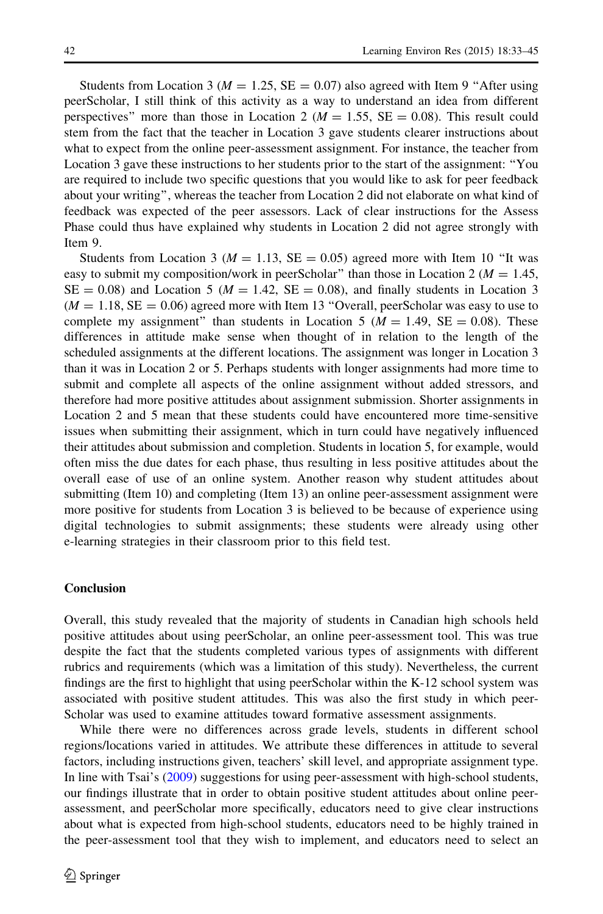Students from Location 3 ( $M = 1.25$ , SE = 0.07) also agreed with Item 9 "After using peerScholar, I still think of this activity as a way to understand an idea from different perspectives" more than those in Location 2 ( $M = 1.55$ ,  $SE = 0.08$ ). This result could stem from the fact that the teacher in Location 3 gave students clearer instructions about what to expect from the online peer-assessment assignment. For instance, the teacher from Location 3 gave these instructions to her students prior to the start of the assignment: ''You are required to include two specific questions that you would like to ask for peer feedback about your writing'', whereas the teacher from Location 2 did not elaborate on what kind of feedback was expected of the peer assessors. Lack of clear instructions for the Assess Phase could thus have explained why students in Location 2 did not agree strongly with Item 9.

Students from Location 3 ( $M = 1.13$ , SE = 0.05) agreed more with Item 10 "It was easy to submit my composition/work in peerScholar" than those in Location 2 ( $M = 1.45$ ,  $SE = 0.08$  and Location 5 ( $M = 1.42$ ,  $SE = 0.08$ ), and finally students in Location 3  $(M = 1.18, SE = 0.06)$  agreed more with Item 13 "Overall, peerScholar was easy to use to complete my assignment" than students in Location 5 ( $M = 1.49$ , SE = 0.08). These differences in attitude make sense when thought of in relation to the length of the scheduled assignments at the different locations. The assignment was longer in Location 3 than it was in Location 2 or 5. Perhaps students with longer assignments had more time to submit and complete all aspects of the online assignment without added stressors, and therefore had more positive attitudes about assignment submission. Shorter assignments in Location 2 and 5 mean that these students could have encountered more time-sensitive issues when submitting their assignment, which in turn could have negatively influenced their attitudes about submission and completion. Students in location 5, for example, would often miss the due dates for each phase, thus resulting in less positive attitudes about the overall ease of use of an online system. Another reason why student attitudes about submitting (Item 10) and completing (Item 13) an online peer-assessment assignment were more positive for students from Location 3 is believed to be because of experience using digital technologies to submit assignments; these students were already using other e-learning strategies in their classroom prior to this field test.

#### Conclusion

Overall, this study revealed that the majority of students in Canadian high schools held positive attitudes about using peerScholar, an online peer-assessment tool. This was true despite the fact that the students completed various types of assignments with different rubrics and requirements (which was a limitation of this study). Nevertheless, the current findings are the first to highlight that using peerScholar within the K-12 school system was associated with positive student attitudes. This was also the first study in which peer-Scholar was used to examine attitudes toward formative assessment assignments.

While there were no differences across grade levels, students in different school regions/locations varied in attitudes. We attribute these differences in attitude to several factors, including instructions given, teachers' skill level, and appropriate assignment type. In line with Tsai's ([2009\)](#page-12-0) suggestions for using peer-assessment with high-school students, our findings illustrate that in order to obtain positive student attitudes about online peerassessment, and peerScholar more specifically, educators need to give clear instructions about what is expected from high-school students, educators need to be highly trained in the peer-assessment tool that they wish to implement, and educators need to select an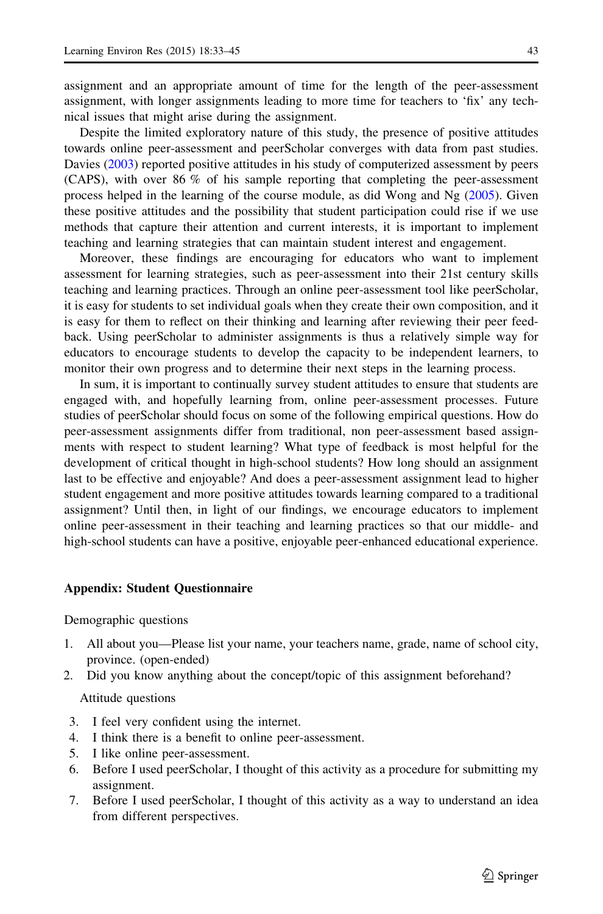<span id="page-10-0"></span>assignment and an appropriate amount of time for the length of the peer-assessment assignment, with longer assignments leading to more time for teachers to 'fix' any technical issues that might arise during the assignment.

Despite the limited exploratory nature of this study, the presence of positive attitudes towards online peer-assessment and peerScholar converges with data from past studies. Davies ([2003\)](#page-11-0) reported positive attitudes in his study of computerized assessment by peers (CAPS), with over 86 % of his sample reporting that completing the peer-assessment process helped in the learning of the course module, as did Wong and Ng ([2005\)](#page-12-0). Given these positive attitudes and the possibility that student participation could rise if we use methods that capture their attention and current interests, it is important to implement teaching and learning strategies that can maintain student interest and engagement.

Moreover, these findings are encouraging for educators who want to implement assessment for learning strategies, such as peer-assessment into their 21st century skills teaching and learning practices. Through an online peer-assessment tool like peerScholar, it is easy for students to set individual goals when they create their own composition, and it is easy for them to reflect on their thinking and learning after reviewing their peer feedback. Using peerScholar to administer assignments is thus a relatively simple way for educators to encourage students to develop the capacity to be independent learners, to monitor their own progress and to determine their next steps in the learning process.

In sum, it is important to continually survey student attitudes to ensure that students are engaged with, and hopefully learning from, online peer-assessment processes. Future studies of peerScholar should focus on some of the following empirical questions. How do peer-assessment assignments differ from traditional, non peer-assessment based assignments with respect to student learning? What type of feedback is most helpful for the development of critical thought in high-school students? How long should an assignment last to be effective and enjoyable? And does a peer-assessment assignment lead to higher student engagement and more positive attitudes towards learning compared to a traditional assignment? Until then, in light of our findings, we encourage educators to implement online peer-assessment in their teaching and learning practices so that our middle- and high-school students can have a positive, enjoyable peer-enhanced educational experience.

## Appendix: Student Questionnaire

Demographic questions

- 1. All about you—Please list your name, your teachers name, grade, name of school city, province. (open-ended)
- 2. Did you know anything about the concept/topic of this assignment beforehand?

Attitude questions

- 3. I feel very confident using the internet.
- 4. I think there is a benefit to online peer-assessment.
- 5. I like online peer-assessment.
- 6. Before I used peerScholar, I thought of this activity as a procedure for submitting my assignment.
- 7. Before I used peerScholar, I thought of this activity as a way to understand an idea from different perspectives.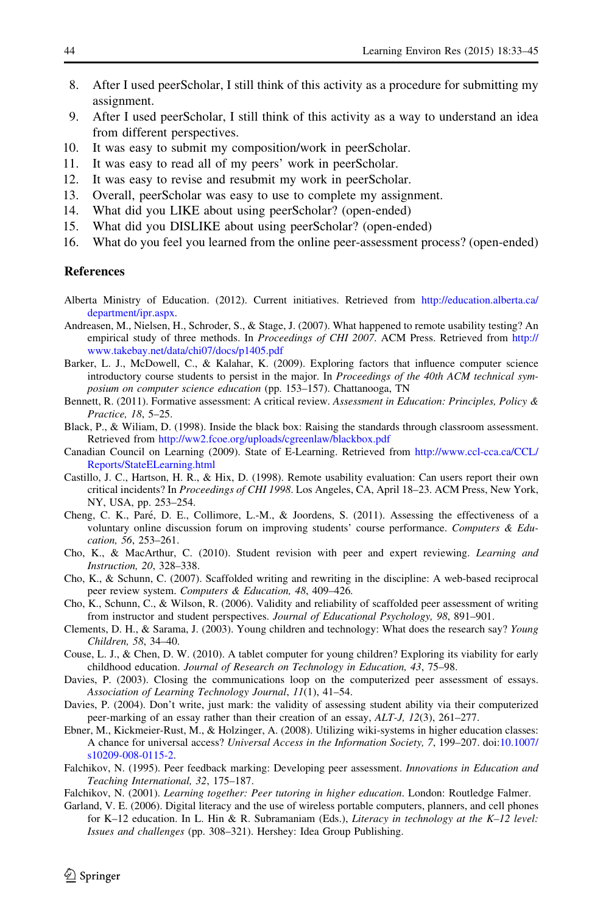- <span id="page-11-0"></span>8. After I used peerScholar, I still think of this activity as a procedure for submitting my assignment.
- 9. After I used peerScholar, I still think of this activity as a way to understand an idea from different perspectives.
- 10. It was easy to submit my composition/work in peerScholar.
- 11. It was easy to read all of my peers' work in peerScholar.
- 12. It was easy to revise and resubmit my work in peerScholar.
- 13. Overall, peerScholar was easy to use to complete my assignment.
- 14. What did you LIKE about using peerScholar? (open-ended)
- 15. What did you DISLIKE about using peerScholar? (open-ended)
- 16. What do you feel you learned from the online peer-assessment process? (open-ended)

## **References**

- Alberta Ministry of Education. (2012). Current initiatives. Retrieved from [http://education.alberta.ca/](http://education.alberta.ca/department/ipr.aspx) [department/ipr.aspx](http://education.alberta.ca/department/ipr.aspx).
- Andreasen, M., Nielsen, H., Schroder, S., & Stage, J. (2007). What happened to remote usability testing? An empirical study of three methods. In Proceedings of CHI 2007. ACM Press. Retrieved from [http://](http://www.takebay.net/data/chi07/docs/p1405.pdf) [www.takebay.net/data/chi07/docs/p1405.pdf](http://www.takebay.net/data/chi07/docs/p1405.pdf)
- Barker, L. J., McDowell, C., & Kalahar, K. (2009). Exploring factors that influence computer science introductory course students to persist in the major. In Proceedings of the 40th ACM technical symposium on computer science education (pp. 153–157). Chattanooga, TN
- Bennett, R. (2011). Formative assessment: A critical review. Assessment in Education: Principles, Policy & Practice, 18, 5–25.
- Black, P., & Wiliam, D. (1998). Inside the black box: Raising the standards through classroom assessment. Retrieved from <http://ww2.fcoe.org/uploads/cgreenlaw/blackbox.pdf>
- Canadian Council on Learning (2009). State of E-Learning. Retrieved from [http://www.ccl-cca.ca/CCL/](http://www.ccl-cca.ca/CCL/Reports/StateELearning.html) [Reports/StateELearning.html](http://www.ccl-cca.ca/CCL/Reports/StateELearning.html)
- Castillo, J. C., Hartson, H. R., & Hix, D. (1998). Remote usability evaluation: Can users report their own critical incidents? In Proceedings of CHI 1998. Los Angeles, CA, April 18–23. ACM Press, New York, NY, USA, pp. 253–254.
- Cheng, C. K., Paré, D. E., Collimore, L.-M., & Joordens, S. (2011). Assessing the effectiveness of a voluntary online discussion forum on improving students' course performance. Computers & Education, 56, 253–261.
- Cho, K., & MacArthur, C. (2010). Student revision with peer and expert reviewing. Learning and Instruction, 20, 328–338.
- Cho, K., & Schunn, C. (2007). Scaffolded writing and rewriting in the discipline: A web-based reciprocal peer review system. Computers & Education, 48, 409–426.
- Cho, K., Schunn, C., & Wilson, R. (2006). Validity and reliability of scaffolded peer assessment of writing from instructor and student perspectives. Journal of Educational Psychology, 98, 891–901.
- Clements, D. H., & Sarama, J. (2003). Young children and technology: What does the research say? Young Children, 58, 34–40.
- Couse, L. J., & Chen, D. W. (2010). A tablet computer for young children? Exploring its viability for early childhood education. Journal of Research on Technology in Education, 43, 75–98.
- Davies, P. (2003). Closing the communications loop on the computerized peer assessment of essays. Association of Learning Technology Journal, 11(1), 41–54.
- Davies, P. (2004). Don't write, just mark: the validity of assessing student ability via their computerized peer-marking of an essay rather than their creation of an essay, ALT-J, 12(3), 261–277.
- Ebner, M., Kickmeier-Rust, M., & Holzinger, A. (2008). Utilizing wiki-systems in higher education classes: A chance for universal access? Universal Access in the Information Society, 7, 199–207. doi:[10.1007/](http://dx.doi.org/10.1007/s10209-008-0115-2) [s10209-008-0115-2](http://dx.doi.org/10.1007/s10209-008-0115-2).
- Falchikov, N. (1995). Peer feedback marking: Developing peer assessment. Innovations in Education and Teaching International, 32, 175–187.
- Falchikov, N. (2001). Learning together: Peer tutoring in higher education. London: Routledge Falmer.
- Garland, V. E. (2006). Digital literacy and the use of wireless portable computers, planners, and cell phones for K–12 education. In L. Hin & R. Subramaniam (Eds.), Literacy in technology at the K–12 level: Issues and challenges (pp. 308–321). Hershey: Idea Group Publishing.